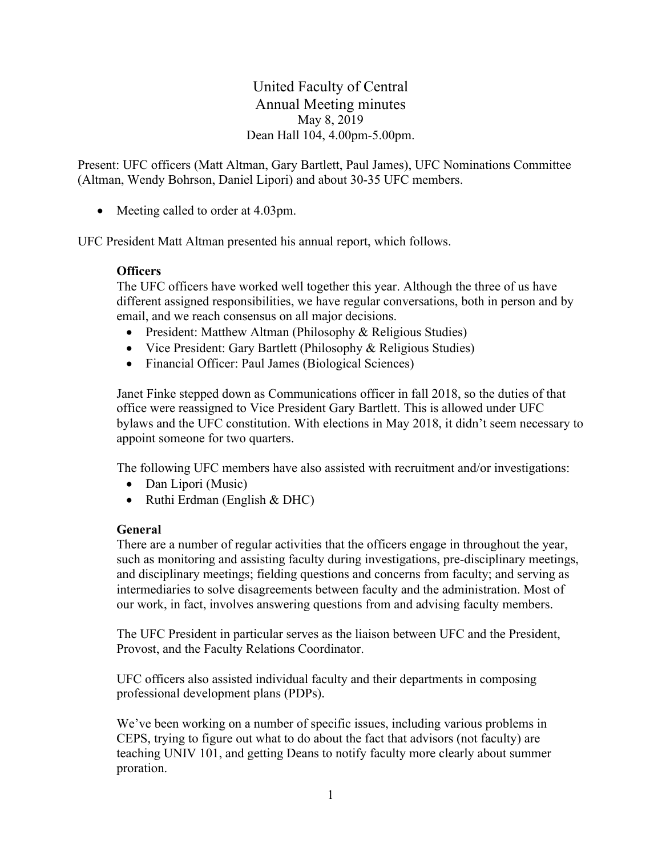United Faculty of Central Annual Meeting minutes May 8, 2019 Dean Hall 104, 4.00pm-5.00pm.

Present: UFC officers (Matt Altman, Gary Bartlett, Paul James), UFC Nominations Committee (Altman, Wendy Bohrson, Daniel Lipori) and about 30-35 UFC members.

• Meeting called to order at 4.03pm.

UFC President Matt Altman presented his annual report, which follows.

### **Officers**

The UFC officers have worked well together this year. Although the three of us have different assigned responsibilities, we have regular conversations, both in person and by email, and we reach consensus on all major decisions.

- President: Matthew Altman (Philosophy & Religious Studies)
- Vice President: Gary Bartlett (Philosophy & Religious Studies)
- Financial Officer: Paul James (Biological Sciences)

Janet Finke stepped down as Communications officer in fall 2018, so the duties of that office were reassigned to Vice President Gary Bartlett. This is allowed under UFC bylaws and the UFC constitution. With elections in May 2018, it didn't seem necessary to appoint someone for two quarters.

The following UFC members have also assisted with recruitment and/or investigations:

- Dan Lipori (Music)
- Ruthi Erdman (English & DHC)

#### **General**

There are a number of regular activities that the officers engage in throughout the year, such as monitoring and assisting faculty during investigations, pre-disciplinary meetings, and disciplinary meetings; fielding questions and concerns from faculty; and serving as intermediaries to solve disagreements between faculty and the administration. Most of our work, in fact, involves answering questions from and advising faculty members.

The UFC President in particular serves as the liaison between UFC and the President, Provost, and the Faculty Relations Coordinator.

UFC officers also assisted individual faculty and their departments in composing professional development plans (PDPs).

We've been working on a number of specific issues, including various problems in CEPS, trying to figure out what to do about the fact that advisors (not faculty) are teaching UNIV 101, and getting Deans to notify faculty more clearly about summer proration.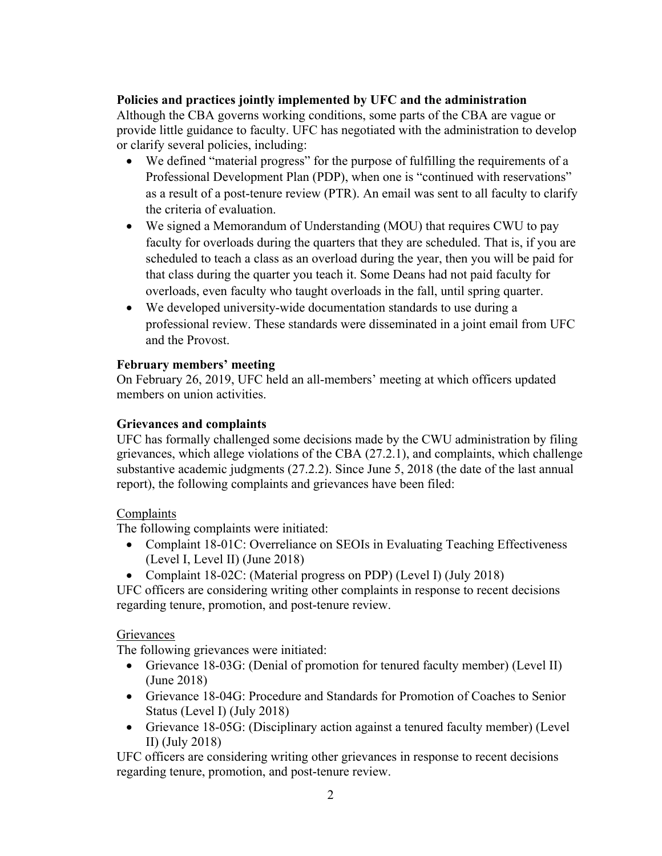### **Policies and practices jointly implemented by UFC and the administration**

Although the CBA governs working conditions, some parts of the CBA are vague or provide little guidance to faculty. UFC has negotiated with the administration to develop or clarify several policies, including:

- We defined "material progress" for the purpose of fulfilling the requirements of a Professional Development Plan (PDP), when one is "continued with reservations" as a result of a post-tenure review (PTR). An email was sent to all faculty to clarify the criteria of evaluation.
- We signed a Memorandum of Understanding (MOU) that requires CWU to pay faculty for overloads during the quarters that they are scheduled. That is, if you are scheduled to teach a class as an overload during the year, then you will be paid for that class during the quarter you teach it. Some Deans had not paid faculty for overloads, even faculty who taught overloads in the fall, until spring quarter.
- We developed university-wide documentation standards to use during a professional review. These standards were disseminated in a joint email from UFC and the Provost.

### **February members' meeting**

On February 26, 2019, UFC held an all-members' meeting at which officers updated members on union activities.

### **Grievances and complaints**

UFC has formally challenged some decisions made by the CWU administration by filing grievances, which allege violations of the CBA (27.2.1), and complaints, which challenge substantive academic judgments (27.2.2). Since June 5, 2018 (the date of the last annual report), the following complaints and grievances have been filed:

# Complaints

The following complaints were initiated:

- Complaint 18-01C: Overreliance on SEOIs in Evaluating Teaching Effectiveness (Level I, Level II) (June 2018)
- Complaint 18-02C: (Material progress on PDP) (Level I) (July 2018)

UFC officers are considering writing other complaints in response to recent decisions regarding tenure, promotion, and post-tenure review.

#### **Grievances**

The following grievances were initiated:

- Grievance 18-03G: (Denial of promotion for tenured faculty member) (Level II) (June 2018)
- Grievance 18-04G: Procedure and Standards for Promotion of Coaches to Senior Status (Level I) (July 2018)
- Grievance 18-05G: (Disciplinary action against a tenured faculty member) (Level II) (July 2018)

UFC officers are considering writing other grievances in response to recent decisions regarding tenure, promotion, and post-tenure review.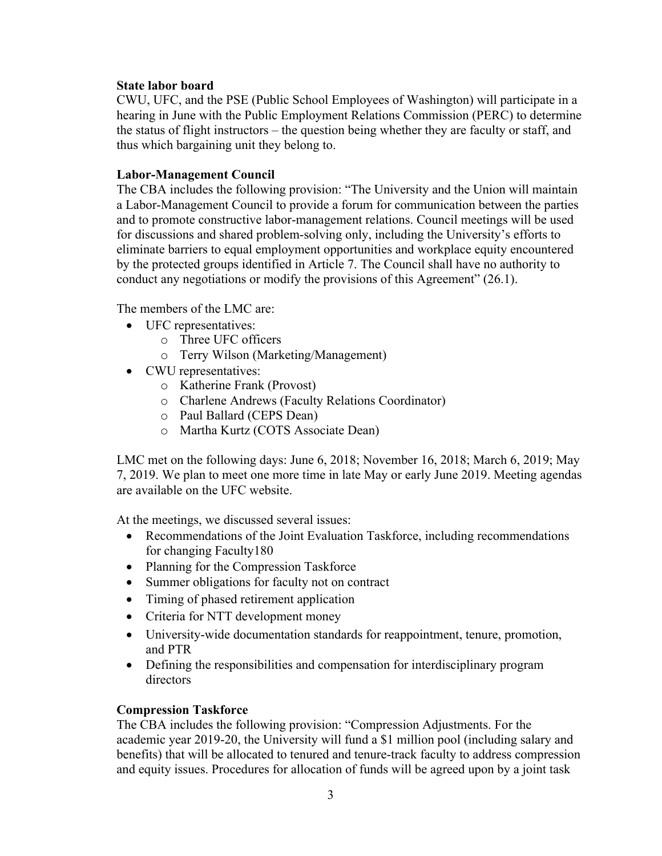#### **State labor board**

CWU, UFC, and the PSE (Public School Employees of Washington) will participate in a hearing in June with the Public Employment Relations Commission (PERC) to determine the status of flight instructors – the question being whether they are faculty or staff, and thus which bargaining unit they belong to.

#### **Labor-Management Council**

The CBA includes the following provision: "The University and the Union will maintain a Labor-Management Council to provide a forum for communication between the parties and to promote constructive labor-management relations. Council meetings will be used for discussions and shared problem-solving only, including the University's efforts to eliminate barriers to equal employment opportunities and workplace equity encountered by the protected groups identified in Article 7. The Council shall have no authority to conduct any negotiations or modify the provisions of this Agreement" (26.1).

The members of the LMC are:

- UFC representatives:
	- o Three UFC officers
	- o Terry Wilson (Marketing/Management)
- CWU representatives:
	- o Katherine Frank (Provost)
	- o Charlene Andrews (Faculty Relations Coordinator)
	- o Paul Ballard (CEPS Dean)
	- o Martha Kurtz (COTS Associate Dean)

LMC met on the following days: June 6, 2018; November 16, 2018; March 6, 2019; May 7, 2019. We plan to meet one more time in late May or early June 2019. Meeting agendas are available on the UFC website.

At the meetings, we discussed several issues:

- Recommendations of the Joint Evaluation Taskforce, including recommendations for changing Faculty180
- Planning for the Compression Taskforce
- Summer obligations for faculty not on contract
- Timing of phased retirement application
- Criteria for NTT development money
- University-wide documentation standards for reappointment, tenure, promotion, and PTR
- Defining the responsibilities and compensation for interdisciplinary program directors

#### **Compression Taskforce**

The CBA includes the following provision: "Compression Adjustments. For the academic year 2019-20, the University will fund a \$1 million pool (including salary and benefits) that will be allocated to tenured and tenure-track faculty to address compression and equity issues. Procedures for allocation of funds will be agreed upon by a joint task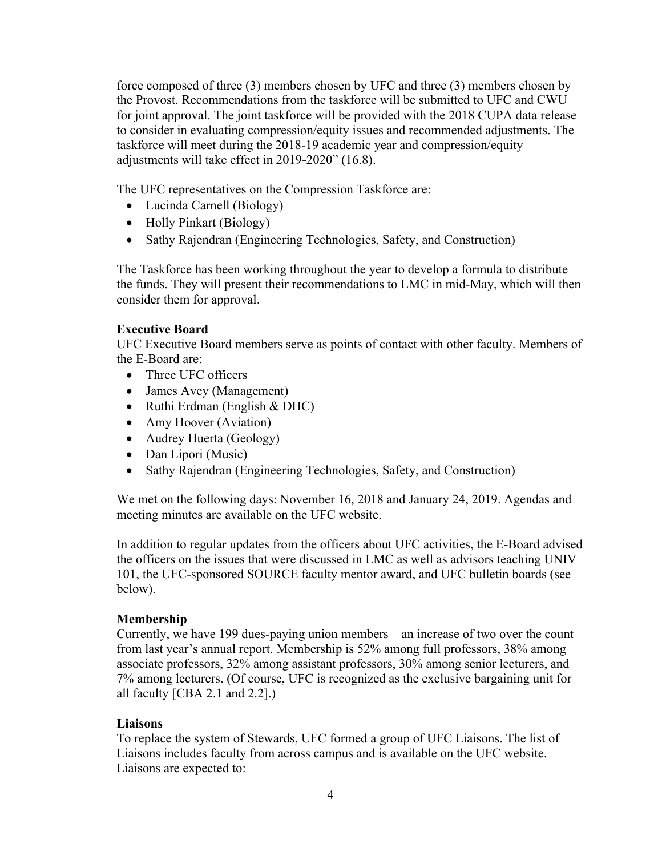force composed of three (3) members chosen by UFC and three (3) members chosen by the Provost. Recommendations from the taskforce will be submitted to UFC and CWU for joint approval. The joint taskforce will be provided with the 2018 CUPA data release to consider in evaluating compression/equity issues and recommended adjustments. The taskforce will meet during the 2018-19 academic year and compression/equity adjustments will take effect in 2019-2020" (16.8).

The UFC representatives on the Compression Taskforce are:

- Lucinda Carnell (Biology)
- Holly Pinkart (Biology)
- Sathy Rajendran (Engineering Technologies, Safety, and Construction)

The Taskforce has been working throughout the year to develop a formula to distribute the funds. They will present their recommendations to LMC in mid-May, which will then consider them for approval.

# **Executive Board**

UFC Executive Board members serve as points of contact with other faculty. Members of the E-Board are:

- Three UFC officers
- James Avey (Management)
- Ruthi Erdman (English & DHC)
- Amy Hoover (Aviation)
- Audrey Huerta (Geology)
- Dan Lipori (Music)
- Sathy Rajendran (Engineering Technologies, Safety, and Construction)

We met on the following days: November 16, 2018 and January 24, 2019. Agendas and meeting minutes are available on the UFC website.

In addition to regular updates from the officers about UFC activities, the E-Board advised the officers on the issues that were discussed in LMC as well as advisors teaching UNIV 101, the UFC-sponsored SOURCE faculty mentor award, and UFC bulletin boards (see below).

# **Membership**

Currently, we have 199 dues-paying union members – an increase of two over the count from last year's annual report. Membership is 52% among full professors, 38% among associate professors, 32% among assistant professors, 30% among senior lecturers, and 7% among lecturers. (Of course, UFC is recognized as the exclusive bargaining unit for all faculty [CBA 2.1 and 2.2].)

# **Liaisons**

To replace the system of Stewards, UFC formed a group of UFC Liaisons. The list of Liaisons includes faculty from across campus and is available on the UFC website. Liaisons are expected to: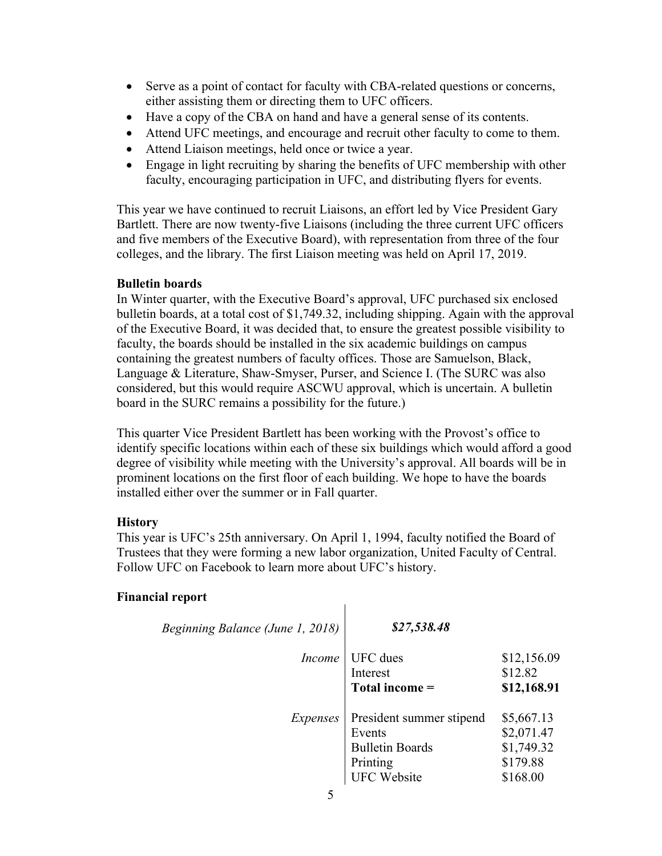- Serve as a point of contact for faculty with CBA-related questions or concerns, either assisting them or directing them to UFC officers.
- Have a copy of the CBA on hand and have a general sense of its contents.
- Attend UFC meetings, and encourage and recruit other faculty to come to them.
- Attend Liaison meetings, held once or twice a year.
- Engage in light recruiting by sharing the benefits of UFC membership with other faculty, encouraging participation in UFC, and distributing flyers for events.

This year we have continued to recruit Liaisons, an effort led by Vice President Gary Bartlett. There are now twenty-five Liaisons (including the three current UFC officers and five members of the Executive Board), with representation from three of the four colleges, and the library. The first Liaison meeting was held on April 17, 2019.

#### **Bulletin boards**

In Winter quarter, with the Executive Board's approval, UFC purchased six enclosed bulletin boards, at a total cost of \$1,749.32, including shipping. Again with the approval of the Executive Board, it was decided that, to ensure the greatest possible visibility to faculty, the boards should be installed in the six academic buildings on campus containing the greatest numbers of faculty offices. Those are Samuelson, Black, Language & Literature, Shaw-Smyser, Purser, and Science I. (The SURC was also considered, but this would require ASCWU approval, which is uncertain. A bulletin board in the SURC remains a possibility for the future.)

This quarter Vice President Bartlett has been working with the Provost's office to identify specific locations within each of these six buildings which would afford a good degree of visibility while meeting with the University's approval. All boards will be in prominent locations on the first floor of each building. We hope to have the boards installed either over the summer or in Fall quarter.

# **History**

This year is UFC's 25th anniversary. On April 1, 1994, faculty notified the Board of Trustees that they were forming a new labor organization, United Faculty of Central. Follow UFC on Facebook to learn more about UFC's history.

 $\mathbf{I}$ 

# **Financial report**

| Beginning Balance (June 1, 2018) | \$27,538.48                                                                                    |                                                                |
|----------------------------------|------------------------------------------------------------------------------------------------|----------------------------------------------------------------|
| <i>Income</i>                    | <b>UFC</b> dues<br>Interest<br>Total income =                                                  | \$12,156.09<br>\$12.82<br>\$12,168.91                          |
| Expenses                         | President summer stipend<br>Events<br><b>Bulletin Boards</b><br>Printing<br><b>UFC Website</b> | \$5,667.13<br>\$2,071.47<br>\$1,749.32<br>\$179.88<br>\$168.00 |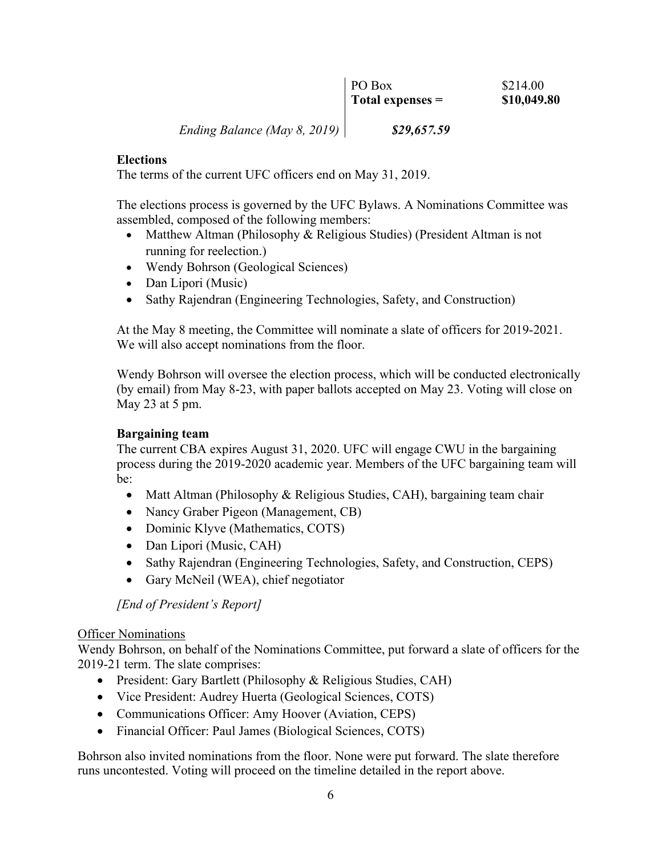| PO Box           | \$214.00    |
|------------------|-------------|
| Total expenses = | \$10,049.80 |

*Ending Balance (May 8, 2019) \$29,657.59*

#### **Elections**

The terms of the current UFC officers end on May 31, 2019.

The elections process is governed by the UFC Bylaws. A Nominations Committee was assembled, composed of the following members:

- Matthew Altman (Philosophy & Religious Studies) (President Altman is not running for reelection.)
- Wendy Bohrson (Geological Sciences)
- Dan Lipori (Music)
- Sathy Rajendran (Engineering Technologies, Safety, and Construction)

At the May 8 meeting, the Committee will nominate a slate of officers for 2019-2021. We will also accept nominations from the floor.

Wendy Bohrson will oversee the election process, which will be conducted electronically (by email) from May 8-23, with paper ballots accepted on May 23. Voting will close on May 23 at 5 pm.

# **Bargaining team**

The current CBA expires August 31, 2020. UFC will engage CWU in the bargaining process during the 2019-2020 academic year. Members of the UFC bargaining team will be:

- Matt Altman (Philosophy & Religious Studies, CAH), bargaining team chair
- Nancy Graber Pigeon (Management, CB)
- Dominic Klyve (Mathematics, COTS)
- Dan Lipori (Music, CAH)
- Sathy Rajendran (Engineering Technologies, Safety, and Construction, CEPS)
- Gary McNeil (WEA), chief negotiator

*[End of President's Report]*

#### Officer Nominations

Wendy Bohrson, on behalf of the Nominations Committee, put forward a slate of officers for the 2019-21 term. The slate comprises:

- President: Gary Bartlett (Philosophy & Religious Studies, CAH)
- Vice President: Audrey Huerta (Geological Sciences, COTS)
- Communications Officer: Amy Hoover (Aviation, CEPS)
- Financial Officer: Paul James (Biological Sciences, COTS)

Bohrson also invited nominations from the floor. None were put forward. The slate therefore runs uncontested. Voting will proceed on the timeline detailed in the report above.